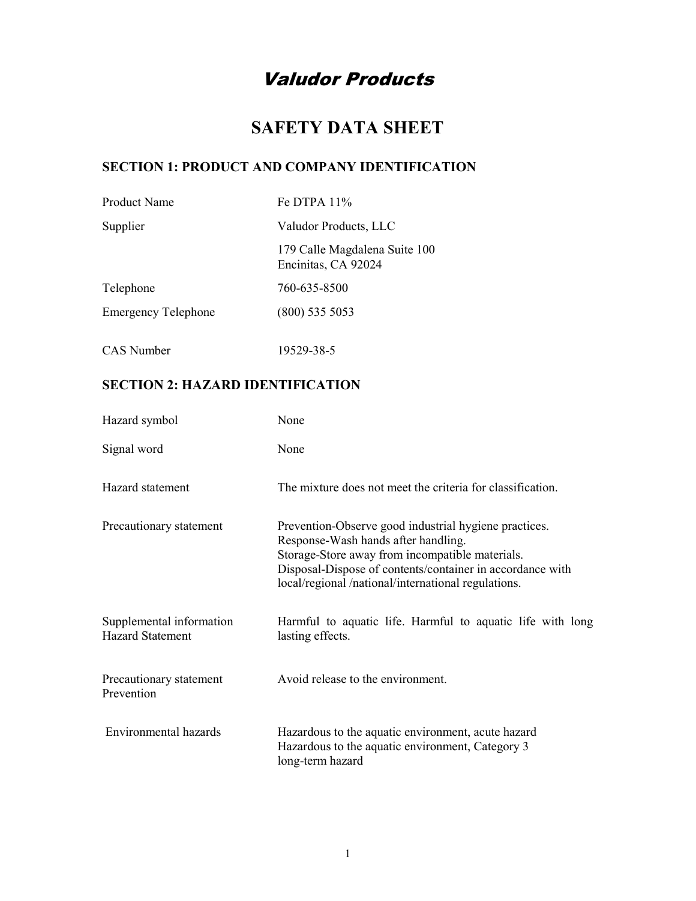# Valudor Products

# SAFETY DATA SHEET

### SECTION 1: PRODUCT AND COMPANY IDENTIFICATION

| Product Name               | Fe DTPA $11\%$                                       |
|----------------------------|------------------------------------------------------|
| Supplier                   | Valudor Products, LLC                                |
|                            | 179 Calle Magdalena Suite 100<br>Encinitas, CA 92024 |
| Telephone                  | 760-635-8500                                         |
| <b>Emergency Telephone</b> | $(800)$ 535 5053                                     |
| CAS Number                 | 19529-38-5                                           |

## SECTION 2: HAZARD IDENTIFICATION

| Hazard symbol                                       | None                                                                                                                                                                                                                                                                |
|-----------------------------------------------------|---------------------------------------------------------------------------------------------------------------------------------------------------------------------------------------------------------------------------------------------------------------------|
| Signal word                                         | None                                                                                                                                                                                                                                                                |
| Hazard statement                                    | The mixture does not meet the criteria for classification.                                                                                                                                                                                                          |
| Precautionary statement                             | Prevention-Observe good industrial hygiene practices.<br>Response-Wash hands after handling.<br>Storage-Store away from incompatible materials.<br>Disposal-Dispose of contents/container in accordance with<br>local/regional /national/international regulations. |
| Supplemental information<br><b>Hazard Statement</b> | Harmful to aquatic life. Harmful to aquatic life with long<br>lasting effects.                                                                                                                                                                                      |
| Precautionary statement<br>Prevention               | Avoid release to the environment.                                                                                                                                                                                                                                   |
| Environmental hazards                               | Hazardous to the aquatic environment, acute hazard<br>Hazardous to the aquatic environment, Category 3<br>long-term hazard                                                                                                                                          |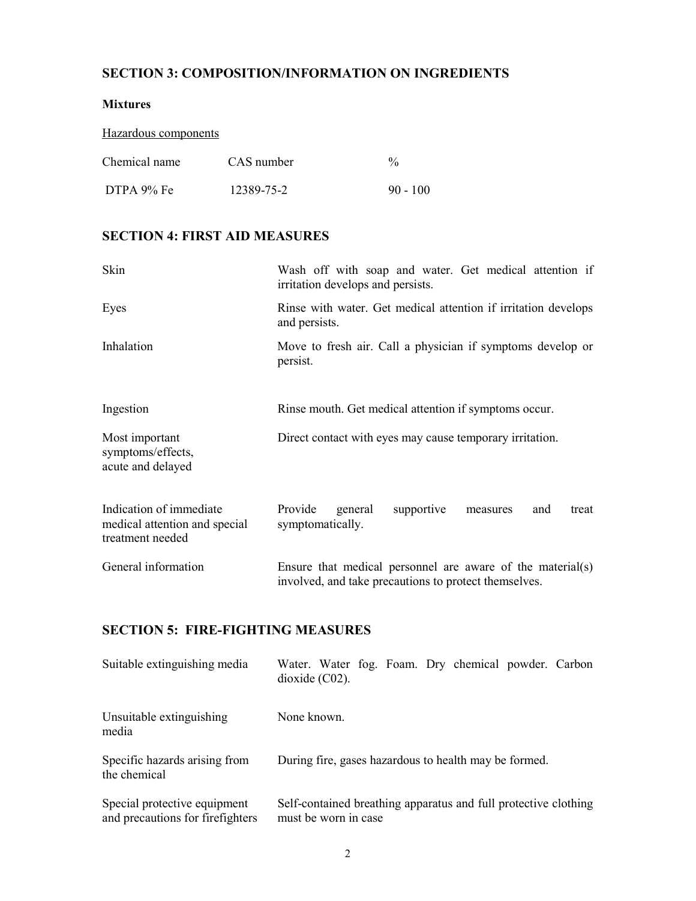### SECTION 3: COMPOSITION/INFORMATION ON INGREDIENTS

#### Mixtures

| Hazardous components |            |               |
|----------------------|------------|---------------|
| Chemical name        | CAS number | $\frac{0}{0}$ |
| DTPA 9% Fe           | 12389-75-2 | $90 - 100$    |

### SECTION 4: FIRST AID MEASURES

| Skin                                                                         | Wash off with soap and water. Get medical attention if<br>irritation develops and persists.                         |
|------------------------------------------------------------------------------|---------------------------------------------------------------------------------------------------------------------|
| Eyes                                                                         | Rinse with water. Get medical attention if irritation develops<br>and persists.                                     |
| Inhalation                                                                   | Move to fresh air. Call a physician if symptoms develop or<br>persist.                                              |
| Ingestion                                                                    | Rinse mouth. Get medical attention if symptoms occur.                                                               |
| Most important<br>symptoms/effects,<br>acute and delayed                     | Direct contact with eyes may cause temporary irritation.                                                            |
| Indication of immediate<br>medical attention and special<br>treatment needed | Provide<br>supportive<br>general<br>and<br>treat<br>measures<br>symptomatically.                                    |
| General information                                                          | Ensure that medical personnel are aware of the material(s)<br>involved, and take precautions to protect themselves. |

## SECTION 5: FIRE-FIGHTING MEASURES

| Suitable extinguishing media                                     | Water. Water fog. Foam. Dry chemical powder. Carbon<br>$dioxide (C02)$ .                |
|------------------------------------------------------------------|-----------------------------------------------------------------------------------------|
| Unsuitable extinguishing<br>media                                | None known.                                                                             |
| Specific hazards arising from<br>the chemical                    | During fire, gases hazardous to health may be formed.                                   |
| Special protective equipment<br>and precautions for firefighters | Self-contained breathing apparatus and full protective clothing<br>must be worn in case |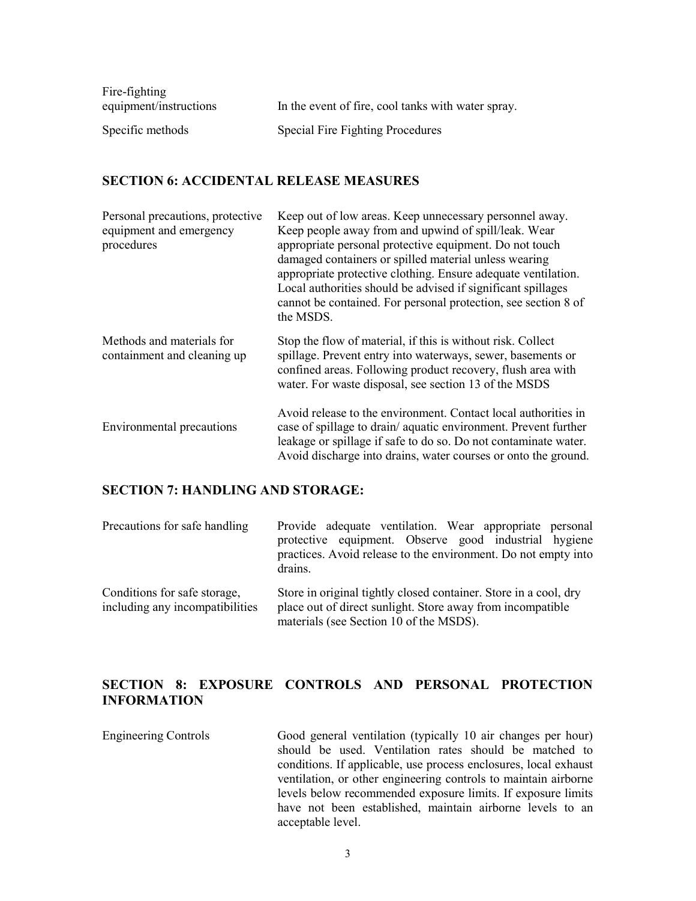| Fire-fighting          |                                                    |
|------------------------|----------------------------------------------------|
| equipment/instructions | In the event of fire, cool tanks with water spray. |
| Specific methods       | Special Fire Fighting Procedures                   |

#### SECTION 6: ACCIDENTAL RELEASE MEASURES

| Personal precautions, protective<br>equipment and emergency<br>procedures | Keep out of low areas. Keep unnecessary personnel away.<br>Keep people away from and upwind of spill/leak. Wear<br>appropriate personal protective equipment. Do not touch<br>damaged containers or spilled material unless wearing<br>appropriate protective clothing. Ensure adequate ventilation.<br>Local authorities should be advised if significant spillages<br>cannot be contained. For personal protection, see section 8 of<br>the MSDS. |
|---------------------------------------------------------------------------|-----------------------------------------------------------------------------------------------------------------------------------------------------------------------------------------------------------------------------------------------------------------------------------------------------------------------------------------------------------------------------------------------------------------------------------------------------|
| Methods and materials for<br>containment and cleaning up                  | Stop the flow of material, if this is without risk. Collect<br>spillage. Prevent entry into waterways, sewer, basements or<br>confined areas. Following product recovery, flush area with<br>water. For waste disposal, see section 13 of the MSDS                                                                                                                                                                                                  |
| <b>Environmental precautions</b>                                          | Avoid release to the environment. Contact local authorities in<br>case of spillage to drain/aquatic environment. Prevent further<br>leakage or spillage if safe to do so. Do not contaminate water.<br>Avoid discharge into drains, water courses or onto the ground.                                                                                                                                                                               |

### SECTION 7: HANDLING AND STORAGE:

| Precautions for safe handling                                   | Provide adequate ventilation. Wear appropriate personal<br>protective equipment. Observe good industrial hygiene<br>practices. Avoid release to the environment. Do not empty into<br>drains. |
|-----------------------------------------------------------------|-----------------------------------------------------------------------------------------------------------------------------------------------------------------------------------------------|
| Conditions for safe storage,<br>including any incompatibilities | Store in original tightly closed container. Store in a cool, dry<br>place out of direct sunlight. Store away from incompatible<br>materials (see Section 10 of the MSDS).                     |

### SECTION 8: EXPOSURE CONTROLS AND PERSONAL PROTECTION INFORMATION

Engineering Controls Good general ventilation (typically 10 air changes per hour) should be used. Ventilation rates should be matched to conditions. If applicable, use process enclosures, local exhaust ventilation, or other engineering controls to maintain airborne levels below recommended exposure limits. If exposure limits have not been established, maintain airborne levels to an acceptable level.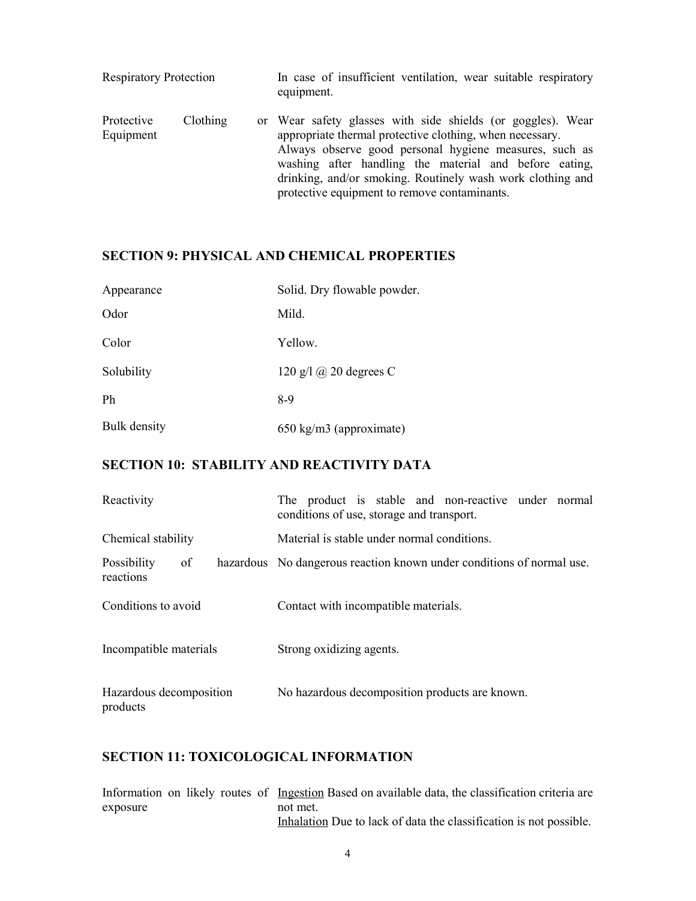| <b>Respiratory Protection</b> |          | In case of insufficient ventilation, wear suitable respiratory<br>equipment.                                                                                                                                                                                                                                                                              |
|-------------------------------|----------|-----------------------------------------------------------------------------------------------------------------------------------------------------------------------------------------------------------------------------------------------------------------------------------------------------------------------------------------------------------|
| Protective<br>Equipment       | Clothing | or Wear safety glasses with side shields (or goggles). Wear<br>appropriate thermal protective clothing, when necessary.<br>Always observe good personal hygiene measures, such as<br>washing after handling the material and before eating,<br>drinking, and/or smoking. Routinely wash work clothing and<br>protective equipment to remove contaminants. |

### SECTION 9: PHYSICAL AND CHEMICAL PROPERTIES

| Appearance   | Solid. Dry flowable powder.        |
|--------------|------------------------------------|
| Odor         | Mild.                              |
| Color        | Yellow.                            |
| Solubility   | 120 g/l $\omega$ 20 degrees C      |
| Ph           | 8-9                                |
| Bulk density | $650 \text{ kg/m}$ 3 (approximate) |

### SECTION 10: STABILITY AND REACTIVITY DATA

| Reactivity                          | The product is stable and non-reactive under normal<br>conditions of use, storage and transport. |
|-------------------------------------|--------------------------------------------------------------------------------------------------|
| Chemical stability                  | Material is stable under normal conditions.                                                      |
| Possibility<br>of<br>reactions      | hazardous No dangerous reaction known under conditions of normal use.                            |
| Conditions to avoid                 | Contact with incompatible materials.                                                             |
| Incompatible materials              | Strong oxidizing agents.                                                                         |
| Hazardous decomposition<br>products | No hazardous decomposition products are known.                                                   |

### SECTION 11: TOXICOLOGICAL INFORMATION

|          |  |  | Information on likely routes of Ingestion Based on available data, the classification criteria are |
|----------|--|--|----------------------------------------------------------------------------------------------------|
| exposure |  |  | not met.                                                                                           |
|          |  |  | Inhalation Due to lack of data the classification is not possible.                                 |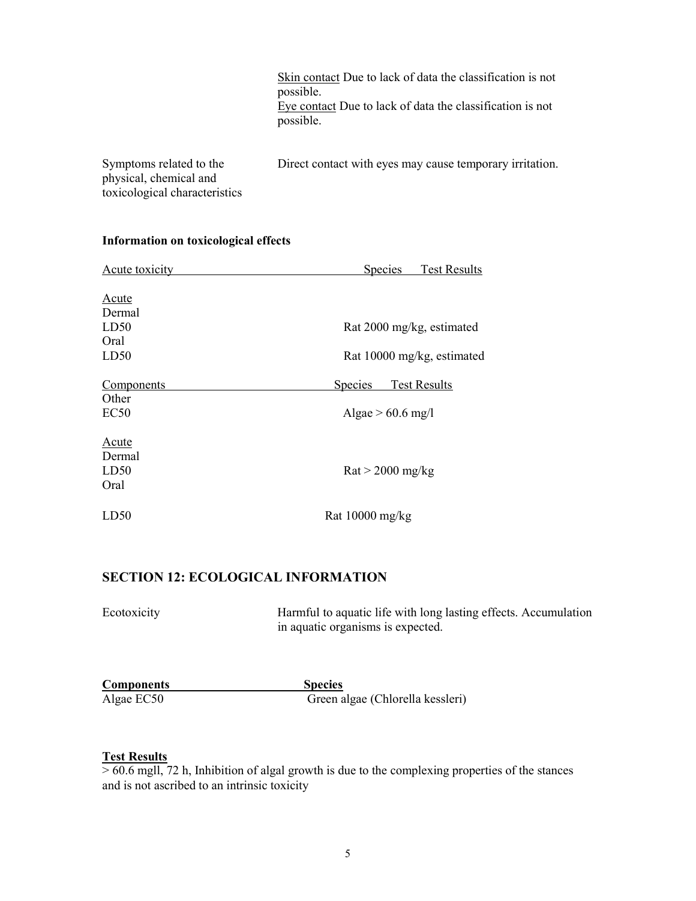Skin contact Due to lack of data the classification is not possible. Eye contact Due to lack of data the classification is not possible.

Symptoms related to the physical, chemical and toxicological characteristics Direct contact with eyes may cause temporary irritation.

| Acute toxicity | <b>Test Results</b><br><b>Species</b> |  |  |
|----------------|---------------------------------------|--|--|
|                |                                       |  |  |
| <b>Acute</b>   |                                       |  |  |
| Dermal         |                                       |  |  |
| LD50           | Rat 2000 mg/kg, estimated             |  |  |
| Oral           |                                       |  |  |
| LD50           | Rat 10000 mg/kg, estimated            |  |  |
| Components     | Species<br><b>Test Results</b>        |  |  |
| Other          |                                       |  |  |
| EC50           | Algae $> 60.6$ mg/l                   |  |  |
| <b>Acute</b>   |                                       |  |  |
| Dermal         |                                       |  |  |
| LD50           | $\text{Rat}$ > 2000 mg/kg             |  |  |
| Oral           |                                       |  |  |
| LD50           | Rat $10000$ mg/kg                     |  |  |

#### Information on toxicological effects

### SECTION 12: ECOLOGICAL INFORMATION

| Ecotoxicity       | Harmful to aquatic life with long lasting effects. Accumulation<br>in aquatic organisms is expected. |  |
|-------------------|------------------------------------------------------------------------------------------------------|--|
|                   |                                                                                                      |  |
| <b>Components</b> | <b>Species</b>                                                                                       |  |
| Algae EC50        | Green algae (Chlorella kessleri)                                                                     |  |

#### Test Results

> 60.6 mgll, 72 h, Inhibition of algal growth is due to the complexing properties of the stances and is not ascribed to an intrinsic toxicity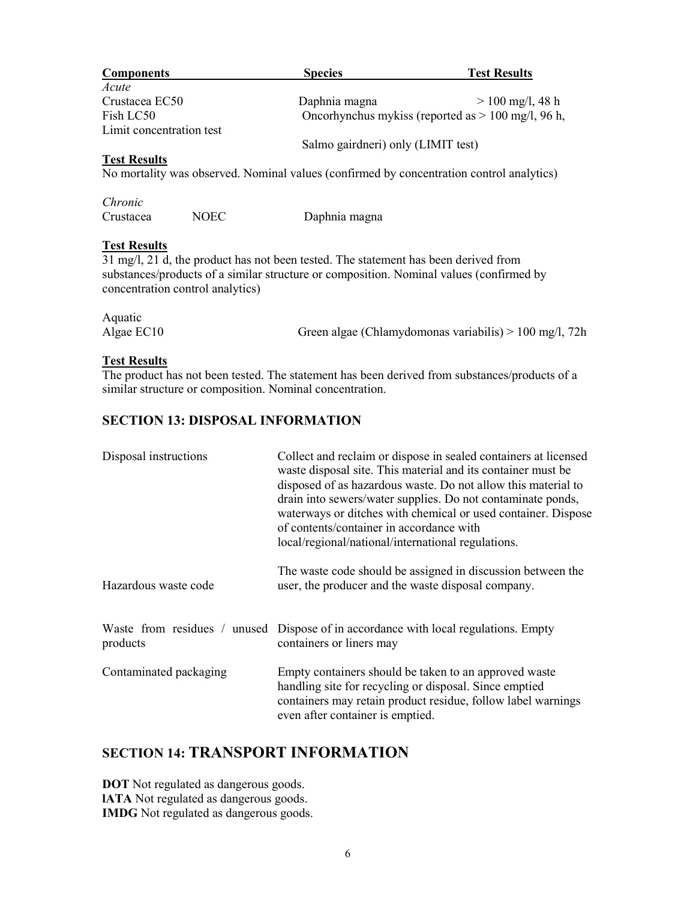| <b>Components</b>                                                                        | <b>Species</b>                                       | <b>Test Results</b> |
|------------------------------------------------------------------------------------------|------------------------------------------------------|---------------------|
| Acute                                                                                    |                                                      |                     |
| Crustacea EC50                                                                           | Daphnia magna                                        | $> 100$ mg/l, 48 h  |
| Fish LC50                                                                                | Oncorhynchus mykiss (reported as $> 100$ mg/l, 96 h, |                     |
| Limit concentration test                                                                 |                                                      |                     |
|                                                                                          | Salmo gairdneri) only (LIMIT test)                   |                     |
| <b>Test Results</b>                                                                      |                                                      |                     |
| No mortality was observed. Nominal values (confirmed by concentration control analytics) |                                                      |                     |

| Chronic   |      |               |
|-----------|------|---------------|
| Crustacea | NOEC | Daphnia magna |

#### **Test Results**

31 mg/l, 21 d, the product has not been tested. The statement has been derived from substances/products of a similar structure or composition. Nominal values (confirmed by concentration control analytics)

| Aquatic    |                                                          |
|------------|----------------------------------------------------------|
| Algae EC10 | Green algae (Chlamydomonas variabilis) $> 100$ mg/l, 72h |

#### Test Results

The product has not been tested. The statement has been derived from substances/products of a similar structure or composition. Nominal concentration.

### SECTION 13: DISPOSAL INFORMATION

| Disposal instructions  | Collect and reclaim or dispose in sealed containers at licensed<br>waste disposal site. This material and its container must be<br>disposed of as hazardous waste. Do not allow this material to<br>drain into sewers/water supplies. Do not contaminate ponds,<br>waterways or ditches with chemical or used container. Dispose<br>of contents/container in accordance with<br>local/regional/national/international regulations. |
|------------------------|------------------------------------------------------------------------------------------------------------------------------------------------------------------------------------------------------------------------------------------------------------------------------------------------------------------------------------------------------------------------------------------------------------------------------------|
| Hazardous waste code   | The waste code should be assigned in discussion between the<br>user, the producer and the waste disposal company.                                                                                                                                                                                                                                                                                                                  |
| products               | Waste from residues / unused Dispose of in accordance with local regulations. Empty<br>containers or liners may                                                                                                                                                                                                                                                                                                                    |
| Contaminated packaging | Empty containers should be taken to an approved waste<br>handling site for recycling or disposal. Since emptied<br>containers may retain product residue, follow label warnings<br>even after container is emptied.                                                                                                                                                                                                                |

### SECTION 14: TRANSPORT INFORMATION

DOT Not regulated as dangerous goods. lATA Not regulated as dangerous goods. IMDG Not regulated as dangerous goods.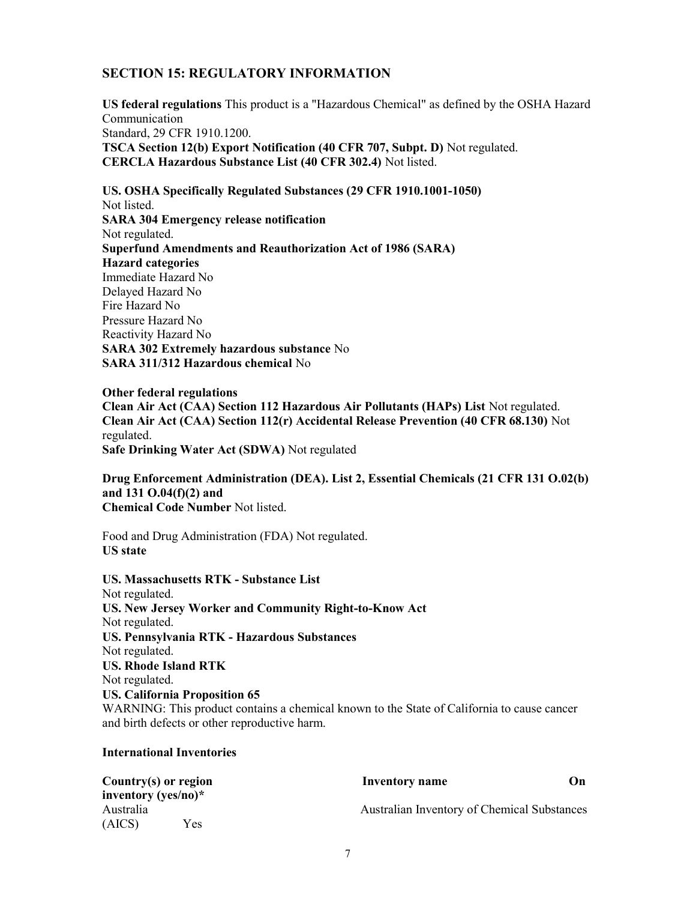#### SECTION 15: REGULATORY INFORMATION

US federal regulations This product is a "Hazardous Chemical" as defined by the OSHA Hazard Communication Standard, 29 CFR 1910.1200. TSCA Section 12(b) Export Notification (40 CFR 707, Subpt. D) Not regulated. CERCLA Hazardous Substance List (40 CFR 302.4) Not listed.

US. OSHA Specifically Regulated Substances (29 CFR 1910.1001-1050) Not listed. SARA 304 Emergency release notification Not regulated. Superfund Amendments and Reauthorization Act of 1986 (SARA) Hazard categories Immediate Hazard No Delayed Hazard No Fire Hazard No Pressure Hazard No Reactivity Hazard No SARA 302 Extremely hazardous substance No SARA 311/312 Hazardous chemical No

Other federal regulations Clean Air Act (CAA) Section 112 Hazardous Air Pollutants (HAPs) List Not regulated. Clean Air Act (CAA) Section 112(r) Accidental Release Prevention (40 CFR 68.130) Not regulated. Safe Drinking Water Act (SDWA) Not regulated

Drug Enforcement Administration (DEA). List 2, Essential Chemicals (21 CFR 131 O.02(b) and 131 O.04(f)(2) and Chemical Code Number Not listed.

Food and Drug Administration (FDA) Not regulated. US state

US. Massachusetts RTK - Substance List Not regulated. US. New Jersey Worker and Community Right-to-Know Act Not regulated. US. Pennsylvania RTK - Hazardous Substances Not regulated. US. Rhode Island RTK Not regulated. US. California Proposition 65 WARNING: This product contains a chemical known to the State of California to cause cancer and birth defects or other reproductive harm.

#### International Inventories

| Country $(s)$ or region |     | <b>Inventory name</b>                       | On |
|-------------------------|-----|---------------------------------------------|----|
| inventory (yes/no) $*$  |     |                                             |    |
| Australia               |     | Australian Inventory of Chemical Substances |    |
| (AICS)                  | Yes |                                             |    |